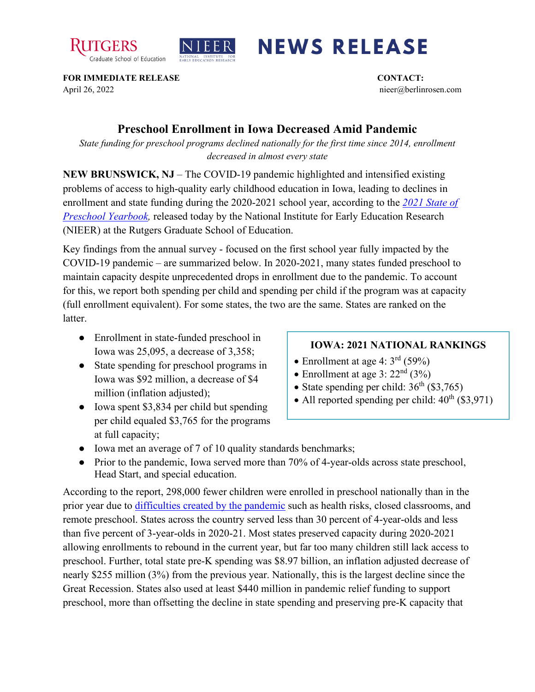



## **NEWS RELEASE**

**FOR IMMEDIATE RELEASE CONTACT:**  April 26, 2022 nieer@berlinrosen.com

## **Preschool Enrollment in Iowa Decreased Amid Pandemic**

*State funding for preschool programs declined nationally for the first time since 2014, enrollment decreased in almost every state*

**NEW BRUNSWICK, NJ** – The COVID-19 pandemic highlighted and intensified existing problems of access to high-quality early childhood education in Iowa, leading to declines in enrollment and state funding during the 2020-2021 school year, according to the *[2021 State of](https://nieer.org/state-preschool-yearbooks-yearbook2021)  [Preschool Yearbook,](https://nieer.org/state-preschool-yearbooks-yearbook2021)* released today by the National Institute for Early Education Research (NIEER) at the Rutgers Graduate School of Education.

Key findings from the annual survey - focused on the first school year fully impacted by the COVID-19 pandemic – are summarized below. In 2020-2021, many states funded preschool to maintain capacity despite unprecedented drops in enrollment due to the pandemic. To account for this, we report both spending per child and spending per child if the program was at capacity (full enrollment equivalent). For some states, the two are the same. States are ranked on the latter.

- Enrollment in state-funded preschool in Iowa was 25,095, a decrease of 3,358;
- State spending for preschool programs in Iowa was \$92 million, a decrease of \$4 million (inflation adjusted);
- Iowa spent \$3,834 per child but spending per child equaled \$3,765 for the programs at full capacity;

## **IOWA: 2021 NATIONAL RANKINGS**

- Enrollment at age 4:  $3<sup>rd</sup>$  (59%)
- Enrollment at age 3:  $22<sup>nd</sup>$  (3%)
- State spending per child:  $36<sup>th</sup>$  (\$3,765)
- All reported spending per child:  $40^{th}$  (\$3,971)
- Iowa met an average of 7 of 10 quality standards benchmarks;
- Prior to the pandemic, Iowa served more than 70% of 4-year-olds across state preschool, Head Start, and special education.

According to the report, 298,000 fewer children were enrolled in preschool nationally than in the prior year due to [difficulties created by the pandemic](https://nieer.org/wp-content/uploads/2021/02/NIEER_Seven_Impacts_of_the_Pandemic_on_Young_Children_and_their_Parents.pdf) such as health risks, closed classrooms, and remote preschool. States across the country served less than 30 percent of 4-year-olds and less than five percent of 3-year-olds in 2020-21. Most states preserved capacity during 2020-2021 allowing enrollments to rebound in the current year, but far too many children still lack access to preschool. Further, total state pre-K spending was \$8.97 billion, an inflation adjusted decrease of nearly \$255 million (3%) from the previous year. Nationally, this is the largest decline since the Great Recession. States also used at least \$440 million in pandemic relief funding to support preschool, more than offsetting the decline in state spending and preserving pre-K capacity that